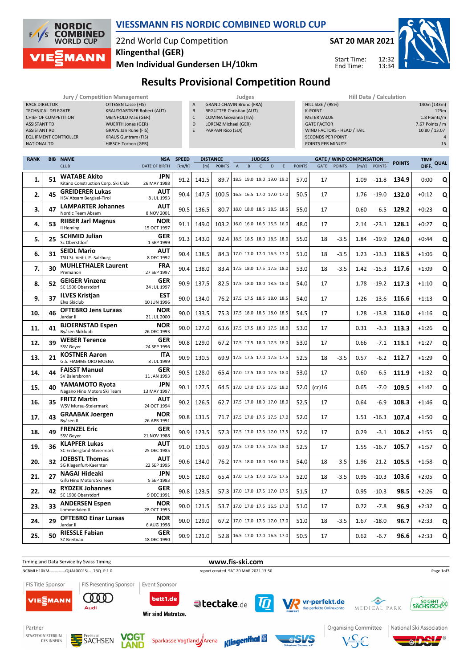

#### **VIESSMANN FIS NORDIC COMBINED WORLD CUP**

## 22nd World Cup Competition **Klingenthal (GER)**

**Men Individual Gundersen LH/10km**



Start Time: End Time:



# **Results Provisional Competition Round**

|                             | Jury / Competition Management    |    | <b>Judges</b>                   | <b>Hill Data / Calculation</b> |
|-----------------------------|----------------------------------|----|---------------------------------|--------------------------------|
| <b>RACE DIRECTOR</b>        | OTTESEN Lasse (FIS)              | A  | <b>GRAND CHAVIN Bruno (FRA)</b> | HILL SIZE / (95%)              |
| <b>TECHNICAL DELEGATE</b>   | <b>KRAUTGARTNER Robert (AUT)</b> | B  | <b>BEGUTTER Christian (AUT)</b> | <b>K-POINT</b>                 |
| CHIEF OF COMPETITION        | MEINHOLD Max (GER)               |    | <b>COMINA Giovanna (ITA)</b>    | <b>METER VALUE</b>             |
| <b>ASSISTANT TD</b>         | <b>WUERTH Jonas (GER)</b>        | D  | LORENZ Michael (GER)            | <b>GATE FACTOR</b>             |
| <b>ASSISTANT RD</b>         | GRAVE Jan Rune (FIS)             | E. | PARPAN Rico (SUI)               | WIND FACTORS - HEAD / TAIL     |
| <b>EQUIPMENT CONTROLLER</b> | <b>KRAUS Guntram (FIS)</b>       |    |                                 | <b>SECONDS PER POINT</b>       |
| <b>NATIONAL TD</b>          | HIRSCH Torben (GER)              |    |                                 | POINTS PER MINUTE              |

- C COMINA Giovanna (ITA)
- D LORENZ Michael (GER)
- E PARPAN Rico (SUI)

| <b>HIII Data / Calculation</b> |                 |
|--------------------------------|-----------------|
| <b>HILL SIZE / (95%)</b>       | 140m (133m)     |
| <b>K-POINT</b>                 | 125m            |
| <b>METER VALUE</b>             | 1.8 Points/m    |
| <b>GATE FACTOR</b>             | 7.67 Points / m |
| WIND FACTORS - HEAD / TAIL     | 10.80 / 13.07   |
| <b>SECONDS PER POINT</b>       | $\Delta$        |
| POINTS PER MINUTE              | 15              |

 $12.32$ 13:34

|    | <b>BIB NAME</b>                                           | <b>NSA</b>                                                                                                                                              | <b>SPEED</b>                                         | <b>DISTANCE</b> |               | <b>JUDGES</b>  |  |   |              |                                                                                                                                                                                                                                                                                                                                                                                                                                                                                                                                                                                                                                                                                                                                          |             |        | <b>GATE / WIND COMPENSATION</b> |         | <b>POINTS</b> | TIME QUAL |       |
|----|-----------------------------------------------------------|---------------------------------------------------------------------------------------------------------------------------------------------------------|------------------------------------------------------|-----------------|---------------|----------------|--|---|--------------|------------------------------------------------------------------------------------------------------------------------------------------------------------------------------------------------------------------------------------------------------------------------------------------------------------------------------------------------------------------------------------------------------------------------------------------------------------------------------------------------------------------------------------------------------------------------------------------------------------------------------------------------------------------------------------------------------------------------------------------|-------------|--------|---------------------------------|---------|---------------|-----------|-------|
|    |                                                           | <b>DATE OF BIRTH</b>                                                                                                                                    | [km/h]                                               | [m]             | <b>POINTS</b> | $\overline{A}$ |  | D | E            | <b>POINTS</b>                                                                                                                                                                                                                                                                                                                                                                                                                                                                                                                                                                                                                                                                                                                            | <b>GATE</b> |        | [m/s]                           |         |               |           |       |
| 51 | <b>WATABE Akito</b><br>Kitano Construction Corp. Ski Club | JPN<br>26 MAY 1988                                                                                                                                      | 91.2                                                 | 141.5           | 89.7          |                |  |   |              | 57.0                                                                                                                                                                                                                                                                                                                                                                                                                                                                                                                                                                                                                                                                                                                                     | 17          |        | 1.09                            | $-11.8$ | 134.9         | 0:00      | Q     |
| 45 | <b>GREIDERER Lukas</b><br>HSV Absam Bergisel-Tirol        | AUT<br>8 JUL 1993                                                                                                                                       | 90.4                                                 | 147.5           | 100.5         |                |  |   |              | 50.5                                                                                                                                                                                                                                                                                                                                                                                                                                                                                                                                                                                                                                                                                                                                     | 17          |        | 1.76                            | $-19.0$ | 132.0         | $+0:12$   | Q     |
| 47 | <b>LAMPARTER Johannes</b><br>Nordic Team Absam            | <b>AUT</b><br>8 NOV 2001                                                                                                                                | 90.5                                                 | 136.5           | 80.7          |                |  |   |              | 55.0                                                                                                                                                                                                                                                                                                                                                                                                                                                                                                                                                                                                                                                                                                                                     | 17          |        | 0.60                            | $-6.5$  | 129.2         | $+0:23$   | Q     |
| 53 | <b>RIIBER Jarl Magnus</b><br>Il Heming                    | <b>NOR</b><br>15 OCT 1997                                                                                                                               | 91.1                                                 | 149.0           | 103.2         |                |  |   |              | 48.0                                                                                                                                                                                                                                                                                                                                                                                                                                                                                                                                                                                                                                                                                                                                     | 17          |        | 2.14                            | $-23.1$ | 128.1         | $+0:27$   | Q     |
| 25 | <b>SCHMID Julian</b><br>Sc Oberstdorf                     | <b>GER</b><br>1 SEP 1999                                                                                                                                | 91.3                                                 | 143.0           | 92.4          |                |  |   |              | 55.0                                                                                                                                                                                                                                                                                                                                                                                                                                                                                                                                                                                                                                                                                                                                     | 18          | $-3.5$ | 1.84                            | $-19.9$ | 124.0         | $+0:44$   | Q     |
| 31 | <b>SEIDL Mario</b><br>TSU St. Veit i. P.-Salzburg         | <b>AUT</b><br>8 DEC 1992                                                                                                                                | 90.4                                                 | 138.5           | 84.3          |                |  |   |              | 51.0                                                                                                                                                                                                                                                                                                                                                                                                                                                                                                                                                                                                                                                                                                                                     | 18          | $-3.5$ | 1.23                            | $-13.3$ | 118.5         | $+1:06$   | Q     |
| 30 | <b>MUHLETHALER Laurent</b><br>Premanon                    | <b>FRA</b><br>27 SEP 1997                                                                                                                               | 90.4                                                 | 138.0           | 83.4          |                |  |   |              | 53.0                                                                                                                                                                                                                                                                                                                                                                                                                                                                                                                                                                                                                                                                                                                                     | 18          | $-3.5$ | 1.42                            | $-15.3$ | 117.6         | $+1:09$   | Q     |
| 52 | <b>GEIGER Vinzenz</b><br>SC 1906 Oberstdorf               | <b>GER</b><br>24 JUL 1997                                                                                                                               | 90.9                                                 | 137.5           | 82.5          |                |  |   |              | 54.0                                                                                                                                                                                                                                                                                                                                                                                                                                                                                                                                                                                                                                                                                                                                     | 17          |        | 1.78                            | $-19.2$ | 117.3         | $+1:10$   | Q     |
| 37 | <b>ILVES Kristjan</b><br>Elva Skiclub                     | <b>EST</b><br>10 JUN 1996                                                                                                                               | 90.0                                                 | 134.0           | 76.2          |                |  |   |              | 54.0                                                                                                                                                                                                                                                                                                                                                                                                                                                                                                                                                                                                                                                                                                                                     | 17          |        | 1.26                            | $-13.6$ | 116.6         | $+1:13$   | Q     |
| 46 | <b>OFTEBRO Jens Luraas</b><br>Jardar II                   | <b>NOR</b><br>21 JUL 2000                                                                                                                               | 90.0                                                 | 133.5           | 75.3          |                |  |   |              | 54.5                                                                                                                                                                                                                                                                                                                                                                                                                                                                                                                                                                                                                                                                                                                                     | 17          |        | 1.28                            | $-13.8$ | 116.0         | $+1:16$   | Q     |
| 41 | <b>BJOERNSTAD Espen</b><br>Byåsen Skiklubb                | <b>NOR</b><br>26 DEC 1993                                                                                                                               | 90.0                                                 | 127.0           | 63.6          |                |  |   |              | 53.0                                                                                                                                                                                                                                                                                                                                                                                                                                                                                                                                                                                                                                                                                                                                     | 17          |        | 0.31                            | $-3.3$  | 113.3         | $+1:26$   | Q     |
| 39 | <b>WEBER Terence</b><br>SSV Geyer                         | <b>GER</b><br>24 SEP 1996                                                                                                                               | 90.8                                                 | 129.0           | 67.2          |                |  |   |              | 53.0                                                                                                                                                                                                                                                                                                                                                                                                                                                                                                                                                                                                                                                                                                                                     | 17          |        | 0.66                            | $-7.1$  | 113.1         | $+1:27$   | Q     |
| 21 | <b>KOSTNER Aaron</b><br>G.S. FIAMME ORO MOENA             | <b>ITA</b><br>8 JUL 1999                                                                                                                                | 90.9                                                 | 130.5           | 69.9          |                |  |   |              | 52.5                                                                                                                                                                                                                                                                                                                                                                                                                                                                                                                                                                                                                                                                                                                                     | 18          | $-3.5$ | 0.57                            | $-6.2$  | 112.7         | $+1:29$   | Q     |
| 44 | SV Baiersbronn                                            | 11 JAN 1993                                                                                                                                             | 90.5                                                 | 128.0           | 65.4          |                |  |   |              | 53.0                                                                                                                                                                                                                                                                                                                                                                                                                                                                                                                                                                                                                                                                                                                                     | 17          |        | 0.60                            | $-6.5$  | 111.9         | $+1:32$   | Q     |
| 40 | Nagano Hino Motors Ski Team                               | 13 MAY 1997                                                                                                                                             | 90.1                                                 | 127.5           | 64.5          |                |  |   |              | 52.0                                                                                                                                                                                                                                                                                                                                                                                                                                                                                                                                                                                                                                                                                                                                     | (cr)16      |        | 0.65                            | $-7.0$  | 109.5         | $+1:42$   | Q     |
| 35 | <b>FRITZ Martin</b><br>WSV Murau-Steiermark               | AUT<br>24 OCT 1994                                                                                                                                      | 90.2                                                 | 126.5           | 62.7          |                |  |   |              | 52.5                                                                                                                                                                                                                                                                                                                                                                                                                                                                                                                                                                                                                                                                                                                                     | 17          |        | 0.64                            | -6.9    | 108.3         | $+1:46$   | Q     |
| 43 | Byåsen IL                                                 | 26 APR 1991                                                                                                                                             | 90.8                                                 | 131.5           | 71.7          |                |  |   |              | 52.0                                                                                                                                                                                                                                                                                                                                                                                                                                                                                                                                                                                                                                                                                                                                     | 17          |        | 1.51                            | $-16.3$ | 107.4         | $+1:50$   | Q     |
| 49 | SSV Geyer                                                 | <b>GER</b><br>21 NOV 1988                                                                                                                               | 90.9                                                 | 123.5           | 57.3          |                |  |   |              | 52.0                                                                                                                                                                                                                                                                                                                                                                                                                                                                                                                                                                                                                                                                                                                                     | 17          |        | 0.29                            | $-3.1$  | 106.2         | $+1:55$   | Q     |
| 36 | SC Erzbergland-Steiermark                                 | AUT<br>25 DEC 1985                                                                                                                                      | 91.0                                                 | 130.5           | 69.9          |                |  |   |              | 52.5                                                                                                                                                                                                                                                                                                                                                                                                                                                                                                                                                                                                                                                                                                                                     | 17          |        | 1.55                            | $-16.7$ | 105.7         | $+1:57$   | Q     |
| 32 | SG Klagenfurt-Kaernten                                    | AUT<br>22 SEP 1995                                                                                                                                      | 90.6                                                 | 134.0           | 76.2          |                |  |   |              | 54.0                                                                                                                                                                                                                                                                                                                                                                                                                                                                                                                                                                                                                                                                                                                                     | 18          | $-3.5$ | 1.96                            | $-21.2$ | 105.5         | $+1:58$   | Q     |
| 27 | NAGAI Hideaki<br>Gifu Hino Motors Ski Team                | 5 SEP 1983                                                                                                                                              | 90.5                                                 | 128.0           | 65.4          |                |  |   |              | 52.0                                                                                                                                                                                                                                                                                                                                                                                                                                                                                                                                                                                                                                                                                                                                     | 18          | $-3.5$ | 0.95                            | $-10.3$ | 103.6         | $+2:05$   | Q     |
| 42 | <b>RYDZEK Johannes</b><br>SC 1906 Oberstdorf              | <b>GER</b><br>9 DEC 1991                                                                                                                                | 90.8                                                 | 123.5           | 57.3          |                |  |   |              | 51.5                                                                                                                                                                                                                                                                                                                                                                                                                                                                                                                                                                                                                                                                                                                                     | 17          |        | 0.95                            | $-10.3$ | 98.5          | $+2:26$   | Q     |
| 33 | <b>ANDERSEN Espen</b><br>Lommedalen IL                    | <b>NOR</b><br>28 OCT 1993                                                                                                                               | 90.0                                                 | 121.5           | 53.7          |                |  |   |              | 51.0                                                                                                                                                                                                                                                                                                                                                                                                                                                                                                                                                                                                                                                                                                                                     | 17          |        | 0.72                            | $-7.8$  | 96.9          | $+2:32$   | Q     |
| 29 | <b>OFTEBRO Einar Luraas</b><br>Jardar II                  | <b>NOR</b><br>6 AUG 1998                                                                                                                                | 90.0                                                 | 129.0           | 67.2          |                |  |   |              | 51.0                                                                                                                                                                                                                                                                                                                                                                                                                                                                                                                                                                                                                                                                                                                                     | 18          | $-3.5$ | 1.67                            | $-18.0$ | 96.7          | $+2:33$   | Q     |
| 50 | <b>RIESSLE Fabian</b><br>SZ Breitnau                      | <b>GER</b><br>18 DEC 1990                                                                                                                               | 90.9                                                 | 121.0           |               |                |  |   |              | 50.5                                                                                                                                                                                                                                                                                                                                                                                                                                                                                                                                                                                                                                                                                                                                     | 17          |        | 0.62                            | $-6.7$  | 96.6          | $+2:33$   | Q     |
|    |                                                           | <b>CLUB</b><br><b>FAISST Manuel</b><br>YAMAMOTO Ryota<br><b>GRAABAK Joergen</b><br><b>FRENZEL Eric</b><br><b>KLAPFER Lukas</b><br><b>JOEBSTL Thomas</b> | <b>GER</b><br><b>JPN</b><br><b>NOR</b><br><b>JPN</b> |                 |               |                |  | B | $\mathsf{C}$ | 18.5 19.0 19.0 19.0 19.0<br>16.5 16.5 17.0 17.0 17.0<br>18.0 18.0 18.5 18.5 18.5<br>16.0 16.0 16.5 15.5 16.0<br>18.5 18.5 18.0 18.5 18.0<br>  17.0 17.0 17.0 16.5 17.0<br>17.5 18.0 17.5 17.5 18.0<br>17.5 18.0 18.0 18.5 18.0<br>17.5 17.5 18.5 18.0 18.5<br> 17.5 18.0 18.5 18.0 18.5<br>17.5 17.5 18.0 17.5 18.0<br>17.5 17.5 18.0 17.5 18.0<br>  17.5 17.5 17.0 17.5 17.5<br>17.0 17.5 18.0 17.5 18.0<br>17.0 17.0 17.5 17.5 18.0<br>17.5 17.0 18.0 17.0 18.0<br>17.5 17.0 17.5 17.5 17.0<br>  17.5 17.0 17.5 17.0 17.5<br>17.5 17.0 17.5 17.5 18.0<br>17.5 18.0 18.0 18.0 18.0<br>17.0 17.5 17.0 17.5 17.5<br>17.0 17.0 17.5 17.0 17.5<br>  17.0 17.0 17.5 16.5 17.0<br>17.0 17.0 17.5 17.0 17.0<br>52.8   16.5 17.0 17.0 16.5 17.0 |             |        | <b>POINTS</b>                   |         | <b>POINTS</b> |           | DIFF. |



Partner STAATSMINISTERIUM

DES INNERN









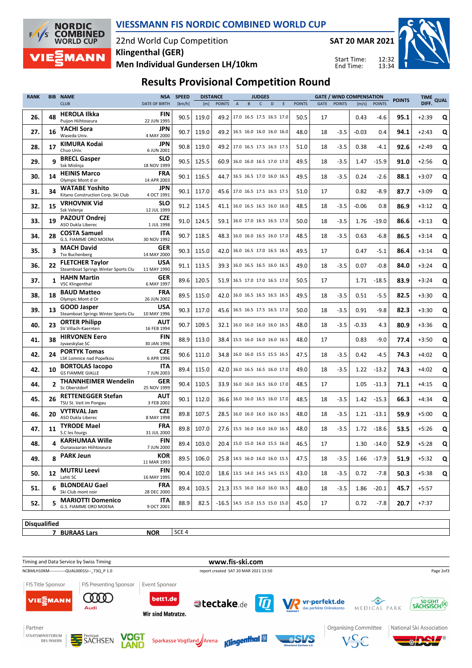

#### **VIESSMANN FIS NORDIC COMBINED WORLD CUP**

### 22nd World Cup Competition **Men Individual Gundersen LH/10km Klingenthal (GER)**

**SAT 20 MAR 2021**

 $12.32$ 13:34



Start Time: End Time:

# **Results Provisional Competition Round**

| <b>POINTS</b><br>DIFF.<br><b>CLUB</b><br><b>DATE OF BIRTH</b><br>[km/h]<br><b>POINTS</b><br>$\mathsf{C}$<br><b>POINTS</b><br><b>GATE</b><br><b>POINTS</b><br>[m/s]<br><b>POINTS</b><br>[m]<br>$\overline{A}$<br>B<br>D<br>E<br><b>HEROLA Ilkka</b><br><b>FIN</b><br>48<br>119.0<br>50.5<br>95.1<br>$+2:39$<br>26.<br>90.5<br>49.2<br>17.0 16.5 17.5 16.5 17.0<br>17<br>0.43<br>-4.6<br>Puijon Hiihtoseura<br>22 JUN 1995<br>YACHI Sora<br>JPN<br>90.7<br>27.<br>16<br>119.0<br>48.0<br>$-3.5$<br>49.2<br>16.5 16.0 16.0 16.0 16.0<br>18<br>$-0.03$<br>0.4<br>94.1<br>$+2:43$<br>Waseda Univ.<br>4 MAY 2000<br><b>KIMURA Kodai</b><br>JPN<br>17<br>90.8<br>28.<br>119.0<br>49.2 17.0 16.5 17.5 16.5 17.5<br>51.0<br>18<br>$-3.5$<br>0.38<br>-4.1<br>92.6<br>$+2:49$<br>Chuo Univ.<br>6 JUN 2001<br><b>BRECL Gasper</b><br>SLO<br>q<br>29.<br>90.5<br>125.5<br>$-3.5$<br>$-15.9$<br>60.9<br>49.5<br>1.47<br>91.0<br>$+2:56$<br>16.0 16.0 16.5 17.0 17.0<br>18<br>Ssk Mislinja<br>18 NOV 1999<br><b>HEINIS Marco</b><br><b>FRA</b><br>90.1<br>30.<br>14<br>116.5<br>16.5 16.5 17.0 16.0 16.5<br>49.5<br>18<br>$-3.5$<br>0.24<br>-2.6<br>88.1<br>$+3:07$<br>44.7<br>Olympic Mont d or<br>14 APR 2003<br><b>WATABE Yoshito</b><br>JPN<br>34<br>31.<br>90.1<br>117.0<br>0.82<br>$-8.9$<br>87.7<br>45.6<br>17.0 16.5 17.5 16.5 17.5<br>51.0<br>17<br>$+3:09$<br>Kitano Construction Corp. Ski Club<br>4 OCT 1991<br><b>VRHOVNIK Vid</b><br><b>SLO</b><br>15<br>32.<br>91.2<br>114.5<br>16.0 16.5 16.5 16.0 16.0<br>48.5<br>$-3.5$<br>$-0.06$<br>86.9<br>41.1<br>18<br>0.8<br>$+3:12$<br>Ssk Velenje<br>12 JUL 1999<br><b>PAZOUT Ondrej</b><br><b>CZE</b><br>33.<br>19<br>91.0<br>124.5<br>16.0 17.0 16.5 16.5 17.0<br>$-3.5$<br>$-19.0$<br>86.6<br>59.1<br>50.0<br>18<br>1.76<br>$+3:13$<br>ASO Dukla Liberec<br>1 JUL 1998<br><b>COSTA Samuel</b><br>ITA<br>28<br>34.<br>90.7<br>118.5<br>16.0 16.0 16.5 16.0 17.0<br>48.5<br>0.63<br>86.5<br>48.3<br>18<br>$-3.5$<br>-6.8<br>$+3:14$<br>G.S. FIAMME ORO MOENA<br>30 NOV 1992<br><b>MACH David</b><br><b>GER</b><br>35.<br>3<br>90.3<br>115.0<br>49.5<br>86.4<br>42.0<br>16.0 16.5 17.0 16.5 16.5<br>17<br>0.47<br>$-5.1$<br>$+3:14$<br><b>Tsv Buchenberg</b><br>14 MAY 2000<br><b>FLETCHER Taylor</b><br>USA<br>113.5<br>36.<br>22<br>91.1<br>39.3<br>16.0 16.5 16.5 16.0 16.5<br>49.0<br>18<br>$-3.5$<br>0.07<br>$-0.8$<br>84.0<br>$+3:24$<br>Steamboat Springs Winter Sports Clu<br>11 MAY 1990<br><b>HAHN Martin</b><br>GER<br>89.6<br>120.5<br>50.5<br>37.<br>1<br>51.9<br>16.5 17.0 17.0 16.5 17.0<br>17<br>1.71<br>$-18.5$<br>83.9<br>$+3:24$<br><b>VSC Klingenthal</b><br>6 MAY 1997<br><b>BAUD Matteo</b><br><b>FRA</b><br>89.5<br>38.<br>18<br>115.0<br>42.0<br>16.0 16.5 16.5 16.5 16.5<br>49.5<br>$-3.5$<br>0.51<br>-5.5<br>82.5<br>$+3:30$<br>18<br>Olympic Mont d Or<br>26 JUN 2002<br>USA<br><b>GOOD Jasper</b><br>39.<br>90.3<br>117.0<br>$-3.5$<br>0.91<br>$-9.8$<br>82.3<br>$+3:30$<br>13<br>45.6<br>16.5 16.5 17.5 16.5 17.0<br>50.0<br>18<br>Steamboat Springs Winter Sports Clu<br>10 MAY 1996<br><b>ORTER Philipp</b><br>AUT<br>90.7<br>109.5<br>$-3.5$<br>80.9<br>40.<br>23<br>32.1<br>16.0 16.0 16.0 16.0 16.5<br>48.0<br>18<br>$-0.33$<br>4.3<br>$+3:36$<br>SV Villach-Kaernten<br>16 FEB 1994<br><b>HIRVONEN Eero</b><br>FIN<br>41.<br>38<br>88.9<br>113.0<br>48.0<br>0.83<br>$-9.0$<br>$+3:50$<br>38.4<br>15.5 16.0 16.0 16.0 16.5<br>17<br>77.4<br>Jyvaeskylae SC<br>30 JAN 1996<br><b>CZE</b><br><b>PORTYK Tomas</b><br>42.<br>24<br>90.6<br>16.0 16.0 15.5 15.5 16.5<br>74.3<br>111.0<br>34.8<br>47.5<br>18<br>$-3.5$<br>0.42<br>-4.5<br>$+4:02$<br>LSK Lomnice nad Popelkou<br>6 APR 1996<br><b>BORTOLAS lacopo</b><br>ITA<br>42.<br>74.3<br>10<br>89.4<br>115.0<br>16.0 16.5 16.5 16.0 17.0<br>49.0<br>18<br>$-3.5$<br>1.22<br>$+4:02$<br>42.0<br>$-13.2$<br><b>GS FIAMME GIALLE</b><br>7 JUN 2003<br><b>THANNHEIMER Wendelin</b><br><b>GER</b><br>$\overline{2}$<br>44.<br>90.4<br>110.5<br>48.5<br>71.1<br>33.9<br>16.0 16.0 16.5 16.0 17.0<br>17<br>1.05<br>$-11.3$<br>$+4:15$<br>Sc Oberstdorf<br>25 NOV 1999<br><b>RETTENEGGER Stefan</b><br>AUT<br>45.<br>26<br>90.1<br>112.0<br>16.0 16.0 16.5 16.0 17.0<br>48.5<br>1.42<br>66.3<br>$+4:34$<br>36.6<br>18<br>$-3.5$<br>$-15.3$<br>TSU St. Veit im Pongau<br>3 FEB 2002<br><b>VYTRVAL Jan</b><br><b>CZE</b><br>20<br>89.8<br>46.<br>107.5<br>48.0<br>$-3.5$<br>1.21<br>59.9<br>$+5:00$<br>28.5<br>16.0 16.0 16.0 16.0 16.5<br>18<br>-13.1<br>ASO Dukla Liberec<br>8 MAY 1998<br><b>TYRODE Mael</b><br>FRA<br>89.8<br>47.<br>11<br>107.0<br>27.6<br>15.5 16.0 16.0 16.0 16.5<br>48.0<br>18<br>$-3.5$<br>1.72<br>$-18.6$<br>53.5<br>$+5:26$<br>S.C les fourgs<br>31 JUL 2000<br><b>KARHUMAA Wille</b><br>FIN<br>48.<br>89.4<br>103.0<br>46.5<br>52.9<br>$+5:28$<br>20.4   15.0 15.0 16.0 15.5 16.0<br>17<br>1.30<br>$-14.0$<br>Ounasvaaran Hiihtoseura<br>7 JUN 2000<br><b>PARK Jeun</b><br><b>KOR</b><br>8<br>49.<br>89.5<br>106.0<br>47.5<br>$-17.9$<br>$+5:32$<br>25.8 14.5 16.0 16.0 16.0 15.5<br>18<br>$-3.5$<br>1.66<br>51.9<br>11 MAR 1993<br><b>MUTRU Leevi</b><br>FIN<br>12<br>50.<br>90.4<br>102.0<br>$-3.5$<br>0.72<br>18.6   13.5 14.0 14.5 14.5 15.5<br>43.0<br>18<br>$-7.8$<br>50.3<br>$+5:38$<br>Lahti SC<br>16 MAY 1995<br><b>BLONDEAU Gael</b><br><b>FRA</b><br>6<br>89.4<br>$-20.1$<br>51.<br>103.5<br>21.3   15.5 16.0 16.0 16.0 16.5<br>48.0<br>18<br>$-3.5$<br>1.86<br>45.7<br>$+5:57$<br>Ski Club mont noir<br>28 DEC 2000<br><b>MARIOTTI Domenico</b><br>ITA<br>5<br>52.<br>88.9<br>$+7:37$<br>82.5<br>$-16.5$   14.5 15.0 15.5 15.0 15.0<br>45.0<br>17<br>0.72<br>$-7.8$<br>20.7<br>G.S. FIAMME ORO MOENA<br>9 OCT 2001 | <b>RANK</b><br><b>BIB</b> |  | <b>NAME</b> | <b>NSA</b> | <b>SPEED</b> | <b>DISTANCE</b> |  | <b>JUDGES</b> |  |  |  |  | <b>GATE / WIND COMPENSATION</b> |  | TIME<br>QUAL |  |              |
|-------------------------------------------------------------------------------------------------------------------------------------------------------------------------------------------------------------------------------------------------------------------------------------------------------------------------------------------------------------------------------------------------------------------------------------------------------------------------------------------------------------------------------------------------------------------------------------------------------------------------------------------------------------------------------------------------------------------------------------------------------------------------------------------------------------------------------------------------------------------------------------------------------------------------------------------------------------------------------------------------------------------------------------------------------------------------------------------------------------------------------------------------------------------------------------------------------------------------------------------------------------------------------------------------------------------------------------------------------------------------------------------------------------------------------------------------------------------------------------------------------------------------------------------------------------------------------------------------------------------------------------------------------------------------------------------------------------------------------------------------------------------------------------------------------------------------------------------------------------------------------------------------------------------------------------------------------------------------------------------------------------------------------------------------------------------------------------------------------------------------------------------------------------------------------------------------------------------------------------------------------------------------------------------------------------------------------------------------------------------------------------------------------------------------------------------------------------------------------------------------------------------------------------------------------------------------------------------------------------------------------------------------------------------------------------------------------------------------------------------------------------------------------------------------------------------------------------------------------------------------------------------------------------------------------------------------------------------------------------------------------------------------------------------------------------------------------------------------------------------------------------------------------------------------------------------------------------------------------------------------------------------------------------------------------------------------------------------------------------------------------------------------------------------------------------------------------------------------------------------------------------------------------------------------------------------------------------------------------------------------------------------------------------------------------------------------------------------------------------------------------------------------------------------------------------------------------------------------------------------------------------------------------------------------------------------------------------------------------------------------------------------------------------------------------------------------------------------------------------------------------------------------------------------------------------------------------------------------------------------------------------------------------------------------------------------------------------------------------------------------------------------------------------------------------------------------------------------------------------------------------------------------------------------------------------------------------------------------------------------------------------------------------------------------------------------------------------------------------------------------------------------------------------------------------------------------------------------------------------------------------------------------------------------------------------------------------------------------------------------------------------------------------------------------------------------------------------------------------------------------------------------------------------------------------------------------------------------------------------------------------------------------------------------------------------------------------------------------------------------------------------------------------------------------------------------------------------------------------------------------------------------------------------------------------------------------------------------------------------------------------------------------------------------------------|---------------------------|--|-------------|------------|--------------|-----------------|--|---------------|--|--|--|--|---------------------------------|--|--------------|--|--------------|
|                                                                                                                                                                                                                                                                                                                                                                                                                                                                                                                                                                                                                                                                                                                                                                                                                                                                                                                                                                                                                                                                                                                                                                                                                                                                                                                                                                                                                                                                                                                                                                                                                                                                                                                                                                                                                                                                                                                                                                                                                                                                                                                                                                                                                                                                                                                                                                                                                                                                                                                                                                                                                                                                                                                                                                                                                                                                                                                                                                                                                                                                                                                                                                                                                                                                                                                                                                                                                                                                                                                                                                                                                                                                                                                                                                                                                                                                                                                                                                                                                                                                                                                                                                                                                                                                                                                                                                                                                                                                                                                                                                                                                                                                                                                                                                                                                                                                                                                                                                                                                                                                                                                                                                                                                                                                                                                                                                                                                                                                                                                                                                                                                                                                               |                           |  |             |            |              |                 |  |               |  |  |  |  |                                 |  |              |  |              |
|                                                                                                                                                                                                                                                                                                                                                                                                                                                                                                                                                                                                                                                                                                                                                                                                                                                                                                                                                                                                                                                                                                                                                                                                                                                                                                                                                                                                                                                                                                                                                                                                                                                                                                                                                                                                                                                                                                                                                                                                                                                                                                                                                                                                                                                                                                                                                                                                                                                                                                                                                                                                                                                                                                                                                                                                                                                                                                                                                                                                                                                                                                                                                                                                                                                                                                                                                                                                                                                                                                                                                                                                                                                                                                                                                                                                                                                                                                                                                                                                                                                                                                                                                                                                                                                                                                                                                                                                                                                                                                                                                                                                                                                                                                                                                                                                                                                                                                                                                                                                                                                                                                                                                                                                                                                                                                                                                                                                                                                                                                                                                                                                                                                                               |                           |  |             |            |              |                 |  |               |  |  |  |  |                                 |  |              |  | Q            |
|                                                                                                                                                                                                                                                                                                                                                                                                                                                                                                                                                                                                                                                                                                                                                                                                                                                                                                                                                                                                                                                                                                                                                                                                                                                                                                                                                                                                                                                                                                                                                                                                                                                                                                                                                                                                                                                                                                                                                                                                                                                                                                                                                                                                                                                                                                                                                                                                                                                                                                                                                                                                                                                                                                                                                                                                                                                                                                                                                                                                                                                                                                                                                                                                                                                                                                                                                                                                                                                                                                                                                                                                                                                                                                                                                                                                                                                                                                                                                                                                                                                                                                                                                                                                                                                                                                                                                                                                                                                                                                                                                                                                                                                                                                                                                                                                                                                                                                                                                                                                                                                                                                                                                                                                                                                                                                                                                                                                                                                                                                                                                                                                                                                                               |                           |  |             |            |              |                 |  |               |  |  |  |  |                                 |  |              |  | $\mathbf{Q}$ |
|                                                                                                                                                                                                                                                                                                                                                                                                                                                                                                                                                                                                                                                                                                                                                                                                                                                                                                                                                                                                                                                                                                                                                                                                                                                                                                                                                                                                                                                                                                                                                                                                                                                                                                                                                                                                                                                                                                                                                                                                                                                                                                                                                                                                                                                                                                                                                                                                                                                                                                                                                                                                                                                                                                                                                                                                                                                                                                                                                                                                                                                                                                                                                                                                                                                                                                                                                                                                                                                                                                                                                                                                                                                                                                                                                                                                                                                                                                                                                                                                                                                                                                                                                                                                                                                                                                                                                                                                                                                                                                                                                                                                                                                                                                                                                                                                                                                                                                                                                                                                                                                                                                                                                                                                                                                                                                                                                                                                                                                                                                                                                                                                                                                                               |                           |  |             |            |              |                 |  |               |  |  |  |  |                                 |  |              |  | Q            |
|                                                                                                                                                                                                                                                                                                                                                                                                                                                                                                                                                                                                                                                                                                                                                                                                                                                                                                                                                                                                                                                                                                                                                                                                                                                                                                                                                                                                                                                                                                                                                                                                                                                                                                                                                                                                                                                                                                                                                                                                                                                                                                                                                                                                                                                                                                                                                                                                                                                                                                                                                                                                                                                                                                                                                                                                                                                                                                                                                                                                                                                                                                                                                                                                                                                                                                                                                                                                                                                                                                                                                                                                                                                                                                                                                                                                                                                                                                                                                                                                                                                                                                                                                                                                                                                                                                                                                                                                                                                                                                                                                                                                                                                                                                                                                                                                                                                                                                                                                                                                                                                                                                                                                                                                                                                                                                                                                                                                                                                                                                                                                                                                                                                                               |                           |  |             |            |              |                 |  |               |  |  |  |  |                                 |  |              |  | Q            |
|                                                                                                                                                                                                                                                                                                                                                                                                                                                                                                                                                                                                                                                                                                                                                                                                                                                                                                                                                                                                                                                                                                                                                                                                                                                                                                                                                                                                                                                                                                                                                                                                                                                                                                                                                                                                                                                                                                                                                                                                                                                                                                                                                                                                                                                                                                                                                                                                                                                                                                                                                                                                                                                                                                                                                                                                                                                                                                                                                                                                                                                                                                                                                                                                                                                                                                                                                                                                                                                                                                                                                                                                                                                                                                                                                                                                                                                                                                                                                                                                                                                                                                                                                                                                                                                                                                                                                                                                                                                                                                                                                                                                                                                                                                                                                                                                                                                                                                                                                                                                                                                                                                                                                                                                                                                                                                                                                                                                                                                                                                                                                                                                                                                                               |                           |  |             |            |              |                 |  |               |  |  |  |  |                                 |  |              |  | Q            |
|                                                                                                                                                                                                                                                                                                                                                                                                                                                                                                                                                                                                                                                                                                                                                                                                                                                                                                                                                                                                                                                                                                                                                                                                                                                                                                                                                                                                                                                                                                                                                                                                                                                                                                                                                                                                                                                                                                                                                                                                                                                                                                                                                                                                                                                                                                                                                                                                                                                                                                                                                                                                                                                                                                                                                                                                                                                                                                                                                                                                                                                                                                                                                                                                                                                                                                                                                                                                                                                                                                                                                                                                                                                                                                                                                                                                                                                                                                                                                                                                                                                                                                                                                                                                                                                                                                                                                                                                                                                                                                                                                                                                                                                                                                                                                                                                                                                                                                                                                                                                                                                                                                                                                                                                                                                                                                                                                                                                                                                                                                                                                                                                                                                                               |                           |  |             |            |              |                 |  |               |  |  |  |  |                                 |  |              |  | Q            |
|                                                                                                                                                                                                                                                                                                                                                                                                                                                                                                                                                                                                                                                                                                                                                                                                                                                                                                                                                                                                                                                                                                                                                                                                                                                                                                                                                                                                                                                                                                                                                                                                                                                                                                                                                                                                                                                                                                                                                                                                                                                                                                                                                                                                                                                                                                                                                                                                                                                                                                                                                                                                                                                                                                                                                                                                                                                                                                                                                                                                                                                                                                                                                                                                                                                                                                                                                                                                                                                                                                                                                                                                                                                                                                                                                                                                                                                                                                                                                                                                                                                                                                                                                                                                                                                                                                                                                                                                                                                                                                                                                                                                                                                                                                                                                                                                                                                                                                                                                                                                                                                                                                                                                                                                                                                                                                                                                                                                                                                                                                                                                                                                                                                                               |                           |  |             |            |              |                 |  |               |  |  |  |  |                                 |  |              |  | Q            |
|                                                                                                                                                                                                                                                                                                                                                                                                                                                                                                                                                                                                                                                                                                                                                                                                                                                                                                                                                                                                                                                                                                                                                                                                                                                                                                                                                                                                                                                                                                                                                                                                                                                                                                                                                                                                                                                                                                                                                                                                                                                                                                                                                                                                                                                                                                                                                                                                                                                                                                                                                                                                                                                                                                                                                                                                                                                                                                                                                                                                                                                                                                                                                                                                                                                                                                                                                                                                                                                                                                                                                                                                                                                                                                                                                                                                                                                                                                                                                                                                                                                                                                                                                                                                                                                                                                                                                                                                                                                                                                                                                                                                                                                                                                                                                                                                                                                                                                                                                                                                                                                                                                                                                                                                                                                                                                                                                                                                                                                                                                                                                                                                                                                                               |                           |  |             |            |              |                 |  |               |  |  |  |  |                                 |  |              |  | Q            |
|                                                                                                                                                                                                                                                                                                                                                                                                                                                                                                                                                                                                                                                                                                                                                                                                                                                                                                                                                                                                                                                                                                                                                                                                                                                                                                                                                                                                                                                                                                                                                                                                                                                                                                                                                                                                                                                                                                                                                                                                                                                                                                                                                                                                                                                                                                                                                                                                                                                                                                                                                                                                                                                                                                                                                                                                                                                                                                                                                                                                                                                                                                                                                                                                                                                                                                                                                                                                                                                                                                                                                                                                                                                                                                                                                                                                                                                                                                                                                                                                                                                                                                                                                                                                                                                                                                                                                                                                                                                                                                                                                                                                                                                                                                                                                                                                                                                                                                                                                                                                                                                                                                                                                                                                                                                                                                                                                                                                                                                                                                                                                                                                                                                                               |                           |  |             |            |              |                 |  |               |  |  |  |  |                                 |  |              |  | Q            |
|                                                                                                                                                                                                                                                                                                                                                                                                                                                                                                                                                                                                                                                                                                                                                                                                                                                                                                                                                                                                                                                                                                                                                                                                                                                                                                                                                                                                                                                                                                                                                                                                                                                                                                                                                                                                                                                                                                                                                                                                                                                                                                                                                                                                                                                                                                                                                                                                                                                                                                                                                                                                                                                                                                                                                                                                                                                                                                                                                                                                                                                                                                                                                                                                                                                                                                                                                                                                                                                                                                                                                                                                                                                                                                                                                                                                                                                                                                                                                                                                                                                                                                                                                                                                                                                                                                                                                                                                                                                                                                                                                                                                                                                                                                                                                                                                                                                                                                                                                                                                                                                                                                                                                                                                                                                                                                                                                                                                                                                                                                                                                                                                                                                                               |                           |  |             |            |              |                 |  |               |  |  |  |  |                                 |  |              |  | Q            |
|                                                                                                                                                                                                                                                                                                                                                                                                                                                                                                                                                                                                                                                                                                                                                                                                                                                                                                                                                                                                                                                                                                                                                                                                                                                                                                                                                                                                                                                                                                                                                                                                                                                                                                                                                                                                                                                                                                                                                                                                                                                                                                                                                                                                                                                                                                                                                                                                                                                                                                                                                                                                                                                                                                                                                                                                                                                                                                                                                                                                                                                                                                                                                                                                                                                                                                                                                                                                                                                                                                                                                                                                                                                                                                                                                                                                                                                                                                                                                                                                                                                                                                                                                                                                                                                                                                                                                                                                                                                                                                                                                                                                                                                                                                                                                                                                                                                                                                                                                                                                                                                                                                                                                                                                                                                                                                                                                                                                                                                                                                                                                                                                                                                                               |                           |  |             |            |              |                 |  |               |  |  |  |  |                                 |  |              |  | Q            |
|                                                                                                                                                                                                                                                                                                                                                                                                                                                                                                                                                                                                                                                                                                                                                                                                                                                                                                                                                                                                                                                                                                                                                                                                                                                                                                                                                                                                                                                                                                                                                                                                                                                                                                                                                                                                                                                                                                                                                                                                                                                                                                                                                                                                                                                                                                                                                                                                                                                                                                                                                                                                                                                                                                                                                                                                                                                                                                                                                                                                                                                                                                                                                                                                                                                                                                                                                                                                                                                                                                                                                                                                                                                                                                                                                                                                                                                                                                                                                                                                                                                                                                                                                                                                                                                                                                                                                                                                                                                                                                                                                                                                                                                                                                                                                                                                                                                                                                                                                                                                                                                                                                                                                                                                                                                                                                                                                                                                                                                                                                                                                                                                                                                                               |                           |  |             |            |              |                 |  |               |  |  |  |  |                                 |  |              |  | Q            |
|                                                                                                                                                                                                                                                                                                                                                                                                                                                                                                                                                                                                                                                                                                                                                                                                                                                                                                                                                                                                                                                                                                                                                                                                                                                                                                                                                                                                                                                                                                                                                                                                                                                                                                                                                                                                                                                                                                                                                                                                                                                                                                                                                                                                                                                                                                                                                                                                                                                                                                                                                                                                                                                                                                                                                                                                                                                                                                                                                                                                                                                                                                                                                                                                                                                                                                                                                                                                                                                                                                                                                                                                                                                                                                                                                                                                                                                                                                                                                                                                                                                                                                                                                                                                                                                                                                                                                                                                                                                                                                                                                                                                                                                                                                                                                                                                                                                                                                                                                                                                                                                                                                                                                                                                                                                                                                                                                                                                                                                                                                                                                                                                                                                                               |                           |  |             |            |              |                 |  |               |  |  |  |  |                                 |  |              |  | Q            |
|                                                                                                                                                                                                                                                                                                                                                                                                                                                                                                                                                                                                                                                                                                                                                                                                                                                                                                                                                                                                                                                                                                                                                                                                                                                                                                                                                                                                                                                                                                                                                                                                                                                                                                                                                                                                                                                                                                                                                                                                                                                                                                                                                                                                                                                                                                                                                                                                                                                                                                                                                                                                                                                                                                                                                                                                                                                                                                                                                                                                                                                                                                                                                                                                                                                                                                                                                                                                                                                                                                                                                                                                                                                                                                                                                                                                                                                                                                                                                                                                                                                                                                                                                                                                                                                                                                                                                                                                                                                                                                                                                                                                                                                                                                                                                                                                                                                                                                                                                                                                                                                                                                                                                                                                                                                                                                                                                                                                                                                                                                                                                                                                                                                                               |                           |  |             |            |              |                 |  |               |  |  |  |  |                                 |  |              |  | Q            |
|                                                                                                                                                                                                                                                                                                                                                                                                                                                                                                                                                                                                                                                                                                                                                                                                                                                                                                                                                                                                                                                                                                                                                                                                                                                                                                                                                                                                                                                                                                                                                                                                                                                                                                                                                                                                                                                                                                                                                                                                                                                                                                                                                                                                                                                                                                                                                                                                                                                                                                                                                                                                                                                                                                                                                                                                                                                                                                                                                                                                                                                                                                                                                                                                                                                                                                                                                                                                                                                                                                                                                                                                                                                                                                                                                                                                                                                                                                                                                                                                                                                                                                                                                                                                                                                                                                                                                                                                                                                                                                                                                                                                                                                                                                                                                                                                                                                                                                                                                                                                                                                                                                                                                                                                                                                                                                                                                                                                                                                                                                                                                                                                                                                                               |                           |  |             |            |              |                 |  |               |  |  |  |  |                                 |  |              |  | Q            |
|                                                                                                                                                                                                                                                                                                                                                                                                                                                                                                                                                                                                                                                                                                                                                                                                                                                                                                                                                                                                                                                                                                                                                                                                                                                                                                                                                                                                                                                                                                                                                                                                                                                                                                                                                                                                                                                                                                                                                                                                                                                                                                                                                                                                                                                                                                                                                                                                                                                                                                                                                                                                                                                                                                                                                                                                                                                                                                                                                                                                                                                                                                                                                                                                                                                                                                                                                                                                                                                                                                                                                                                                                                                                                                                                                                                                                                                                                                                                                                                                                                                                                                                                                                                                                                                                                                                                                                                                                                                                                                                                                                                                                                                                                                                                                                                                                                                                                                                                                                                                                                                                                                                                                                                                                                                                                                                                                                                                                                                                                                                                                                                                                                                                               |                           |  |             |            |              |                 |  |               |  |  |  |  |                                 |  |              |  | Q            |
|                                                                                                                                                                                                                                                                                                                                                                                                                                                                                                                                                                                                                                                                                                                                                                                                                                                                                                                                                                                                                                                                                                                                                                                                                                                                                                                                                                                                                                                                                                                                                                                                                                                                                                                                                                                                                                                                                                                                                                                                                                                                                                                                                                                                                                                                                                                                                                                                                                                                                                                                                                                                                                                                                                                                                                                                                                                                                                                                                                                                                                                                                                                                                                                                                                                                                                                                                                                                                                                                                                                                                                                                                                                                                                                                                                                                                                                                                                                                                                                                                                                                                                                                                                                                                                                                                                                                                                                                                                                                                                                                                                                                                                                                                                                                                                                                                                                                                                                                                                                                                                                                                                                                                                                                                                                                                                                                                                                                                                                                                                                                                                                                                                                                               |                           |  |             |            |              |                 |  |               |  |  |  |  |                                 |  |              |  | Q            |
|                                                                                                                                                                                                                                                                                                                                                                                                                                                                                                                                                                                                                                                                                                                                                                                                                                                                                                                                                                                                                                                                                                                                                                                                                                                                                                                                                                                                                                                                                                                                                                                                                                                                                                                                                                                                                                                                                                                                                                                                                                                                                                                                                                                                                                                                                                                                                                                                                                                                                                                                                                                                                                                                                                                                                                                                                                                                                                                                                                                                                                                                                                                                                                                                                                                                                                                                                                                                                                                                                                                                                                                                                                                                                                                                                                                                                                                                                                                                                                                                                                                                                                                                                                                                                                                                                                                                                                                                                                                                                                                                                                                                                                                                                                                                                                                                                                                                                                                                                                                                                                                                                                                                                                                                                                                                                                                                                                                                                                                                                                                                                                                                                                                                               |                           |  |             |            |              |                 |  |               |  |  |  |  |                                 |  |              |  | Q            |
|                                                                                                                                                                                                                                                                                                                                                                                                                                                                                                                                                                                                                                                                                                                                                                                                                                                                                                                                                                                                                                                                                                                                                                                                                                                                                                                                                                                                                                                                                                                                                                                                                                                                                                                                                                                                                                                                                                                                                                                                                                                                                                                                                                                                                                                                                                                                                                                                                                                                                                                                                                                                                                                                                                                                                                                                                                                                                                                                                                                                                                                                                                                                                                                                                                                                                                                                                                                                                                                                                                                                                                                                                                                                                                                                                                                                                                                                                                                                                                                                                                                                                                                                                                                                                                                                                                                                                                                                                                                                                                                                                                                                                                                                                                                                                                                                                                                                                                                                                                                                                                                                                                                                                                                                                                                                                                                                                                                                                                                                                                                                                                                                                                                                               |                           |  |             |            |              |                 |  |               |  |  |  |  |                                 |  |              |  | Q            |
|                                                                                                                                                                                                                                                                                                                                                                                                                                                                                                                                                                                                                                                                                                                                                                                                                                                                                                                                                                                                                                                                                                                                                                                                                                                                                                                                                                                                                                                                                                                                                                                                                                                                                                                                                                                                                                                                                                                                                                                                                                                                                                                                                                                                                                                                                                                                                                                                                                                                                                                                                                                                                                                                                                                                                                                                                                                                                                                                                                                                                                                                                                                                                                                                                                                                                                                                                                                                                                                                                                                                                                                                                                                                                                                                                                                                                                                                                                                                                                                                                                                                                                                                                                                                                                                                                                                                                                                                                                                                                                                                                                                                                                                                                                                                                                                                                                                                                                                                                                                                                                                                                                                                                                                                                                                                                                                                                                                                                                                                                                                                                                                                                                                                               |                           |  |             |            |              |                 |  |               |  |  |  |  |                                 |  |              |  | Q            |
|                                                                                                                                                                                                                                                                                                                                                                                                                                                                                                                                                                                                                                                                                                                                                                                                                                                                                                                                                                                                                                                                                                                                                                                                                                                                                                                                                                                                                                                                                                                                                                                                                                                                                                                                                                                                                                                                                                                                                                                                                                                                                                                                                                                                                                                                                                                                                                                                                                                                                                                                                                                                                                                                                                                                                                                                                                                                                                                                                                                                                                                                                                                                                                                                                                                                                                                                                                                                                                                                                                                                                                                                                                                                                                                                                                                                                                                                                                                                                                                                                                                                                                                                                                                                                                                                                                                                                                                                                                                                                                                                                                                                                                                                                                                                                                                                                                                                                                                                                                                                                                                                                                                                                                                                                                                                                                                                                                                                                                                                                                                                                                                                                                                                               |                           |  |             |            |              |                 |  |               |  |  |  |  |                                 |  |              |  | Q            |
|                                                                                                                                                                                                                                                                                                                                                                                                                                                                                                                                                                                                                                                                                                                                                                                                                                                                                                                                                                                                                                                                                                                                                                                                                                                                                                                                                                                                                                                                                                                                                                                                                                                                                                                                                                                                                                                                                                                                                                                                                                                                                                                                                                                                                                                                                                                                                                                                                                                                                                                                                                                                                                                                                                                                                                                                                                                                                                                                                                                                                                                                                                                                                                                                                                                                                                                                                                                                                                                                                                                                                                                                                                                                                                                                                                                                                                                                                                                                                                                                                                                                                                                                                                                                                                                                                                                                                                                                                                                                                                                                                                                                                                                                                                                                                                                                                                                                                                                                                                                                                                                                                                                                                                                                                                                                                                                                                                                                                                                                                                                                                                                                                                                                               |                           |  |             |            |              |                 |  |               |  |  |  |  |                                 |  |              |  | Q            |
|                                                                                                                                                                                                                                                                                                                                                                                                                                                                                                                                                                                                                                                                                                                                                                                                                                                                                                                                                                                                                                                                                                                                                                                                                                                                                                                                                                                                                                                                                                                                                                                                                                                                                                                                                                                                                                                                                                                                                                                                                                                                                                                                                                                                                                                                                                                                                                                                                                                                                                                                                                                                                                                                                                                                                                                                                                                                                                                                                                                                                                                                                                                                                                                                                                                                                                                                                                                                                                                                                                                                                                                                                                                                                                                                                                                                                                                                                                                                                                                                                                                                                                                                                                                                                                                                                                                                                                                                                                                                                                                                                                                                                                                                                                                                                                                                                                                                                                                                                                                                                                                                                                                                                                                                                                                                                                                                                                                                                                                                                                                                                                                                                                                                               |                           |  |             |            |              |                 |  |               |  |  |  |  |                                 |  |              |  | Q            |
|                                                                                                                                                                                                                                                                                                                                                                                                                                                                                                                                                                                                                                                                                                                                                                                                                                                                                                                                                                                                                                                                                                                                                                                                                                                                                                                                                                                                                                                                                                                                                                                                                                                                                                                                                                                                                                                                                                                                                                                                                                                                                                                                                                                                                                                                                                                                                                                                                                                                                                                                                                                                                                                                                                                                                                                                                                                                                                                                                                                                                                                                                                                                                                                                                                                                                                                                                                                                                                                                                                                                                                                                                                                                                                                                                                                                                                                                                                                                                                                                                                                                                                                                                                                                                                                                                                                                                                                                                                                                                                                                                                                                                                                                                                                                                                                                                                                                                                                                                                                                                                                                                                                                                                                                                                                                                                                                                                                                                                                                                                                                                                                                                                                                               |                           |  |             |            |              |                 |  |               |  |  |  |  |                                 |  |              |  | $\mathbf{Q}$ |
|                                                                                                                                                                                                                                                                                                                                                                                                                                                                                                                                                                                                                                                                                                                                                                                                                                                                                                                                                                                                                                                                                                                                                                                                                                                                                                                                                                                                                                                                                                                                                                                                                                                                                                                                                                                                                                                                                                                                                                                                                                                                                                                                                                                                                                                                                                                                                                                                                                                                                                                                                                                                                                                                                                                                                                                                                                                                                                                                                                                                                                                                                                                                                                                                                                                                                                                                                                                                                                                                                                                                                                                                                                                                                                                                                                                                                                                                                                                                                                                                                                                                                                                                                                                                                                                                                                                                                                                                                                                                                                                                                                                                                                                                                                                                                                                                                                                                                                                                                                                                                                                                                                                                                                                                                                                                                                                                                                                                                                                                                                                                                                                                                                                                               |                           |  |             |            |              |                 |  |               |  |  |  |  |                                 |  |              |  | Q            |
|                                                                                                                                                                                                                                                                                                                                                                                                                                                                                                                                                                                                                                                                                                                                                                                                                                                                                                                                                                                                                                                                                                                                                                                                                                                                                                                                                                                                                                                                                                                                                                                                                                                                                                                                                                                                                                                                                                                                                                                                                                                                                                                                                                                                                                                                                                                                                                                                                                                                                                                                                                                                                                                                                                                                                                                                                                                                                                                                                                                                                                                                                                                                                                                                                                                                                                                                                                                                                                                                                                                                                                                                                                                                                                                                                                                                                                                                                                                                                                                                                                                                                                                                                                                                                                                                                                                                                                                                                                                                                                                                                                                                                                                                                                                                                                                                                                                                                                                                                                                                                                                                                                                                                                                                                                                                                                                                                                                                                                                                                                                                                                                                                                                                               |                           |  |             |            |              |                 |  |               |  |  |  |  |                                 |  |              |  |              |
|                                                                                                                                                                                                                                                                                                                                                                                                                                                                                                                                                                                                                                                                                                                                                                                                                                                                                                                                                                                                                                                                                                                                                                                                                                                                                                                                                                                                                                                                                                                                                                                                                                                                                                                                                                                                                                                                                                                                                                                                                                                                                                                                                                                                                                                                                                                                                                                                                                                                                                                                                                                                                                                                                                                                                                                                                                                                                                                                                                                                                                                                                                                                                                                                                                                                                                                                                                                                                                                                                                                                                                                                                                                                                                                                                                                                                                                                                                                                                                                                                                                                                                                                                                                                                                                                                                                                                                                                                                                                                                                                                                                                                                                                                                                                                                                                                                                                                                                                                                                                                                                                                                                                                                                                                                                                                                                                                                                                                                                                                                                                                                                                                                                                               |                           |  |             |            |              |                 |  |               |  |  |  |  |                                 |  |              |  |              |

**Disqualified**

**7 BURAAS Lars NOR SCE 4**